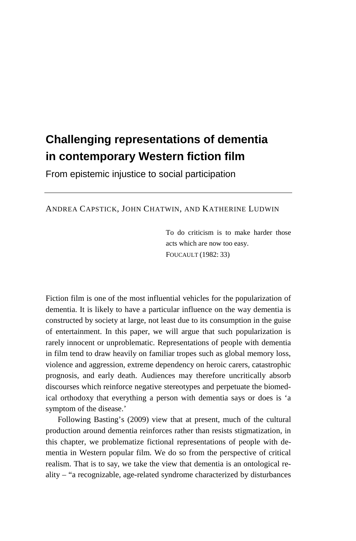# **Challenging representations of dementia in contemporary Western fiction film**

From epistemic injustice to social participation

ANDREA CAPSTICK, JOHN CHATWIN, AND KATHERINE LUDWIN

To do criticism is to make harder those acts which are now too easy. FOUCAULT (1982: 33)

Fiction film is one of the most influential vehicles for the popularization of dementia. It is likely to have a particular influence on the way dementia is constructed by society at large, not least due to its consumption in the guise of entertainment. In this paper, we will argue that such popularization is rarely innocent or unproblematic. Representations of people with dementia in film tend to draw heavily on familiar tropes such as global memory loss, violence and aggression, extreme dependency on heroic carers, catastrophic prognosis, and early death. Audiences may therefore uncritically absorb discourses which reinforce negative stereotypes and perpetuate the biomedical orthodoxy that everything a person with dementia says or does is 'a symptom of the disease.'

Following Basting's (2009) view that at present, much of the cultural production around dementia reinforces rather than resists stigmatization, in this chapter, we problematize fictional representations of people with dementia in Western popular film. We do so from the perspective of critical realism. That is to say, we take the view that dementia is an ontological reality – "a recognizable, age-related syndrome characterized by disturbances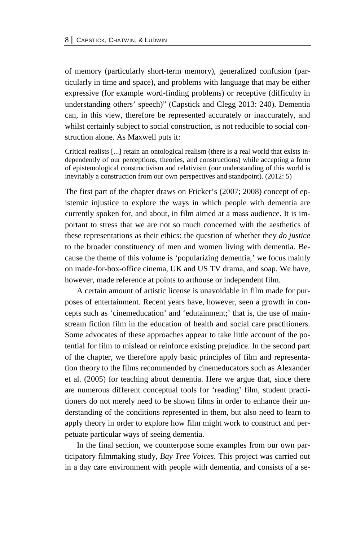of memory (particularly short-term memory), generalized confusion (particularly in time and space), and problems with language that may be either expressive (for example word-finding problems) or receptive (difficulty in understanding others' speech)" (Capstick and Clegg 2013: 240). Dementia can, in this view, therefore be represented accurately or inaccurately, and whilst certainly subject to social construction, is not reducible to social construction alone. As Maxwell puts it:

Critical realists [...] retain an ontological realism (there is a real world that exists independently of our perceptions, theories, and constructions) while accepting a form of epistemological constructivism and relativism (our understanding of this world is inevitably a construction from our own perspectives and standpoint). (2012: 5)

The first part of the chapter draws on Fricker's (2007; 2008) concept of epistemic injustice to explore the ways in which people with dementia are currently spoken for, and about, in film aimed at a mass audience. It is important to stress that we are not so much concerned with the aesthetics of these representations as their ethics: the question of whether they *do justice* to the broader constituency of men and women living with dementia. Because the theme of this volume is 'popularizing dementia,' we focus mainly on made-for-box-office cinema, UK and US TV drama, and soap. We have, however, made reference at points to arthouse or independent film.

A certain amount of artistic license is unavoidable in film made for purposes of entertainment. Recent years have, however, seen a growth in concepts such as 'cinemeducation' and 'edutainment;' that is, the use of mainstream fiction film in the education of health and social care practitioners. Some advocates of these approaches appear to take little account of the potential for film to mislead or reinforce existing prejudice. In the second part of the chapter, we therefore apply basic principles of film and representation theory to the films recommended by cinemeducators such as Alexander et al. (2005) for teaching about dementia. Here we argue that, since there are numerous different conceptual tools for 'reading' film, student practitioners do not merely need to be shown films in order to enhance their understanding of the conditions represented in them, but also need to learn to apply theory in order to explore how film might work to construct and perpetuate particular ways of seeing dementia.

In the final section, we counterpose some examples from our own participatory filmmaking study, *Bay Tree Voices*. This project was carried out in a day care environment with people with dementia, and consists of a se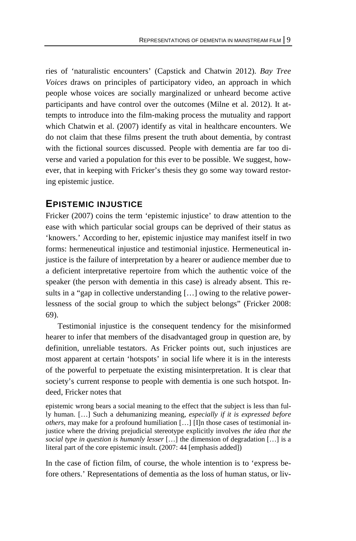ries of 'naturalistic encounters' (Capstick and Chatwin 2012). *Bay Tree Voices* draws on principles of participatory video, an approach in which people whose voices are socially marginalized or unheard become active participants and have control over the outcomes (Milne et al. 2012). It attempts to introduce into the film-making process the mutuality and rapport which Chatwin et al. (2007) identify as vital in healthcare encounters. We do not claim that these films present the truth about dementia, by contrast with the fictional sources discussed. People with dementia are far too diverse and varied a population for this ever to be possible. We suggest, however, that in keeping with Fricker's thesis they go some way toward restoring epistemic justice.

### **EPISTEMIC INJUSTICE**

Fricker (2007) coins the term 'epistemic injustice' to draw attention to the ease with which particular social groups can be deprived of their status as 'knowers.' According to her, epistemic injustice may manifest itself in two forms: hermeneutical injustice and testimonial injustice. Hermeneutical injustice is the failure of interpretation by a hearer or audience member due to a deficient interpretative repertoire from which the authentic voice of the speaker (the person with dementia in this case) is already absent. This results in a "gap in collective understanding […] owing to the relative powerlessness of the social group to which the subject belongs" (Fricker 2008: 69).

Testimonial injustice is the consequent tendency for the misinformed hearer to infer that members of the disadvantaged group in question are, by definition, unreliable testators. As Fricker points out, such injustices are most apparent at certain 'hotspots' in social life where it is in the interests of the powerful to perpetuate the existing misinterpretation. It is clear that society's current response to people with dementia is one such hotspot. Indeed, Fricker notes that

epistemic wrong bears a social meaning to the effect that the subject is less than fully human. […] Such a dehumanizing meaning, *especially if it is expressed before others*, may make for a profound humiliation […] [I]n those cases of testimonial injustice where the driving prejudicial stereotype explicitly involves *the idea that the social type in question is humanly lesser* […] the dimension of degradation […] is a literal part of the core epistemic insult. (2007: 44 [emphasis added])

In the case of fiction film, of course, the whole intention is to 'express before others.' Representations of dementia as the loss of human status, or liv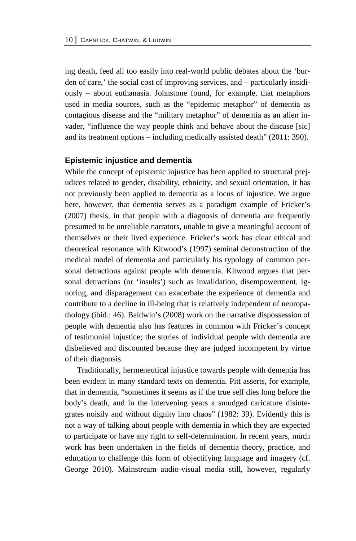ing death, feed all too easily into real-world public debates about the 'burden of care,' the social cost of improving services, and – particularly insidiously – about euthanasia. Johnstone found, for example, that metaphors used in media sources, such as the "epidemic metaphor" of dementia as contagious disease and the "military metaphor" of dementia as an alien invader, "influence the way people think and behave about the disease [sic] and its treatment options – including medically assisted death" (2011: 390).

#### **Epistemic injustice and dementia**

While the concept of epistemic injustice has been applied to structural prejudices related to gender, disability, ethnicity, and sexual orientation, it has not previously been applied to dementia as a locus of injustice. We argue here, however, that dementia serves as a paradigm example of Fricker's (2007) thesis, in that people with a diagnosis of dementia are frequently presumed to be unreliable narrators, unable to give a meaningful account of themselves or their lived experience. Fricker's work has clear ethical and theoretical resonance with Kitwood's (1997) seminal deconstruction of the medical model of dementia and particularly his typology of common personal detractions against people with dementia. Kitwood argues that personal detractions (or 'insults') such as invalidation, disempowerment, ignoring, and disparagement can exacerbate the experience of dementia and contribute to a decline in ill-being that is relatively independent of neuropathology (ibid.: 46). Baldwin's (2008) work on the narrative dispossession of people with dementia also has features in common with Fricker's concept of testimonial injustice; the stories of individual people with dementia are disbelieved and discounted because they are judged incompetent by virtue of their diagnosis.

Traditionally, hermeneutical injustice towards people with dementia has been evident in many standard texts on dementia. Pitt asserts, for example, that in dementia, "sometimes it seems as if the true self dies long before the body's death, and in the intervening years a smudged caricature disintegrates noisily and without dignity into chaos" (1982: 39). Evidently this is not a way of talking about people with dementia in which they are expected to participate or have any right to self-determination. In recent years, much work has been undertaken in the fields of dementia theory, practice, and education to challenge this form of objectifying language and imagery (cf. George 2010). Mainstream audio-visual media still, however, regularly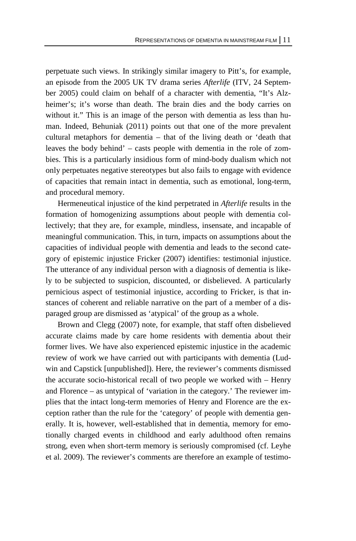perpetuate such views. In strikingly similar imagery to Pitt's, for example, an episode from the 2005 UK TV drama series *Afterlife* (ITV, 24 September 2005) could claim on behalf of a character with dementia, "It's Alzheimer's; it's worse than death. The brain dies and the body carries on without it." This is an image of the person with dementia as less than human. Indeed, Behuniak (2011) points out that one of the more prevalent cultural metaphors for dementia – that of the living death or 'death that leaves the body behind' – casts people with dementia in the role of zombies. This is a particularly insidious form of mind-body dualism which not only perpetuates negative stereotypes but also fails to engage with evidence of capacities that remain intact in dementia, such as emotional, long-term, and procedural memory.

Hermeneutical injustice of the kind perpetrated in *Afterlife* results in the formation of homogenizing assumptions about people with dementia collectively; that they are, for example, mindless, insensate, and incapable of meaningful communication. This, in turn, impacts on assumptions about the capacities of individual people with dementia and leads to the second category of epistemic injustice Fricker (2007) identifies: testimonial injustice. The utterance of any individual person with a diagnosis of dementia is likely to be subjected to suspicion, discounted, or disbelieved. A particularly pernicious aspect of testimonial injustice, according to Fricker, is that instances of coherent and reliable narrative on the part of a member of a disparaged group are dismissed as 'atypical' of the group as a whole.

Brown and Clegg (2007) note, for example, that staff often disbelieved accurate claims made by care home residents with dementia about their former lives. We have also experienced epistemic injustice in the academic review of work we have carried out with participants with dementia (Ludwin and Capstick [unpublished]). Here, the reviewer's comments dismissed the accurate socio-historical recall of two people we worked with – Henry and Florence – as untypical of 'variation in the category.' The reviewer implies that the intact long-term memories of Henry and Florence are the exception rather than the rule for the 'category' of people with dementia generally. It is, however, well-established that in dementia, memory for emotionally charged events in childhood and early adulthood often remains strong, even when short-term memory is seriously compromised (cf. Leyhe et al. 2009). The reviewer's comments are therefore an example of testimo-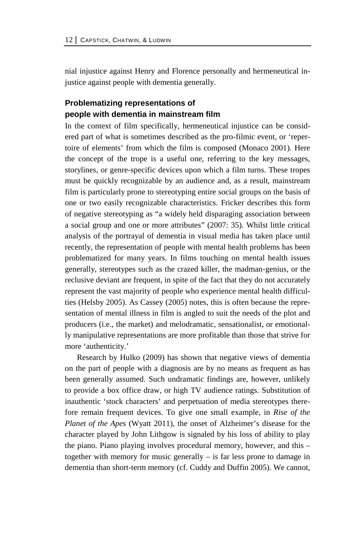nial injustice against Henry and Florence personally and hermeneutical injustice against people with dementia generally.

### **Problematizing representations of people with dementia in mainstream film**

In the context of film specifically, hermeneutical injustice can be considered part of what is sometimes described as the pro-filmic event, or 'repertoire of elements' from which the film is composed (Monaco 2001). Here the concept of the trope is a useful one, referring to the key messages, storylines, or genre-specific devices upon which a film turns. These tropes must be quickly recognizable by an audience and, as a result, mainstream film is particularly prone to stereotyping entire social groups on the basis of one or two easily recognizable characteristics. Fricker describes this form of negative stereotyping as "a widely held disparaging association between a social group and one or more attributes" (2007: 35). Whilst little critical analysis of the portrayal of dementia in visual media has taken place until recently, the representation of people with mental health problems has been problematized for many years. In films touching on mental health issues generally, stereotypes such as the crazed killer, the madman-genius, or the reclusive deviant are frequent, in spite of the fact that they do not accurately represent the vast majority of people who experience mental health difficulties (Helsby 2005). As Cassey (2005) notes, this is often because the representation of mental illness in film is angled to suit the needs of the plot and producers (i.e., the market) and melodramatic, sensationalist, or emotionally manipulative representations are more profitable than those that strive for more 'authenticity.'

Research by Hulko (2009) has shown that negative views of dementia on the part of people with a diagnosis are by no means as frequent as has been generally assumed. Such undramatic findings are, however, unlikely to provide a box office draw, or high TV audience ratings. Substitution of inauthentic 'stock characters' and perpetuation of media stereotypes therefore remain frequent devices. To give one small example, in *Rise of the Planet of the Apes* (Wyatt 2011), the onset of Alzheimer's disease for the character played by John Lithgow is signaled by his loss of ability to play the piano. Piano playing involves procedural memory, however, and this – together with memory for music generally – is far less prone to damage in dementia than short-term memory (cf. Cuddy and Duffin 2005). We cannot,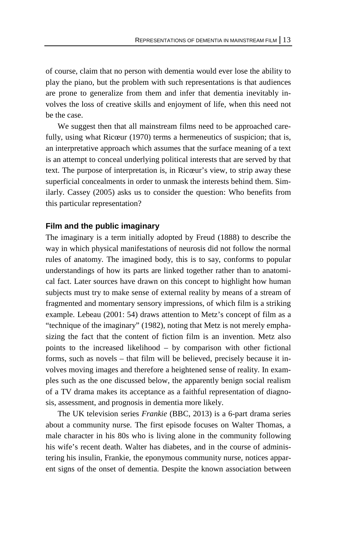of course, claim that no person with dementia would ever lose the ability to play the piano, but the problem with such representations is that audiences are prone to generalize from them and infer that dementia inevitably involves the loss of creative skills and enjoyment of life, when this need not be the case.

We suggest then that all mainstream films need to be approached carefully, using what Ricœur (1970) terms a hermeneutics of suspicion; that is, an interpretative approach which assumes that the surface meaning of a text is an attempt to conceal underlying political interests that are served by that text. The purpose of interpretation is, in Ricœur's view, to strip away these superficial concealments in order to unmask the interests behind them. Similarly. Cassey (2005) asks us to consider the question: Who benefits from this particular representation?

### **Film and the public imaginary**

The imaginary is a term initially adopted by Freud (1888) to describe the way in which physical manifestations of neurosis did not follow the normal rules of anatomy. The imagined body, this is to say, conforms to popular understandings of how its parts are linked together rather than to anatomical fact. Later sources have drawn on this concept to highlight how human subjects must try to make sense of external reality by means of a stream of fragmented and momentary sensory impressions, of which film is a striking example. Lebeau (2001: 54) draws attention to Metz's concept of film as a "technique of the imaginary" (1982), noting that Metz is not merely emphasizing the fact that the content of fiction film is an invention. Metz also points to the increased likelihood – by comparison with other fictional forms, such as novels – that film will be believed, precisely because it involves moving images and therefore a heightened sense of reality. In examples such as the one discussed below, the apparently benign social realism of a TV drama makes its acceptance as a faithful representation of diagnosis, assessment, and prognosis in dementia more likely.

The UK television series *Frankie* (BBC, 2013) is a 6-part drama series about a community nurse. The first episode focuses on Walter Thomas, a male character in his 80s who is living alone in the community following his wife's recent death. Walter has diabetes, and in the course of administering his insulin, Frankie, the eponymous community nurse, notices apparent signs of the onset of dementia. Despite the known association between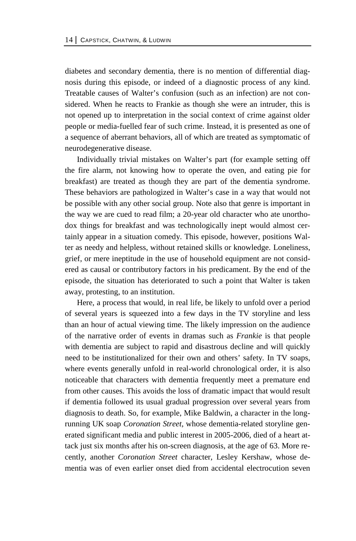diabetes and secondary dementia, there is no mention of differential diagnosis during this episode, or indeed of a diagnostic process of any kind. Treatable causes of Walter's confusion (such as an infection) are not considered. When he reacts to Frankie as though she were an intruder, this is not opened up to interpretation in the social context of crime against older people or media-fuelled fear of such crime. Instead, it is presented as one of a sequence of aberrant behaviors, all of which are treated as symptomatic of neurodegenerative disease.

Individually trivial mistakes on Walter's part (for example setting off the fire alarm, not knowing how to operate the oven, and eating pie for breakfast) are treated as though they are part of the dementia syndrome. These behaviors are pathologized in Walter's case in a way that would not be possible with any other social group. Note also that genre is important in the way we are cued to read film; a 20-year old character who ate unorthodox things for breakfast and was technologically inept would almost certainly appear in a situation comedy. This episode, however, positions Walter as needy and helpless, without retained skills or knowledge. Loneliness, grief, or mere ineptitude in the use of household equipment are not considered as causal or contributory factors in his predicament. By the end of the episode, the situation has deteriorated to such a point that Walter is taken away, protesting, to an institution.

Here, a process that would, in real life, be likely to unfold over a period of several years is squeezed into a few days in the TV storyline and less than an hour of actual viewing time. The likely impression on the audience of the narrative order of events in dramas such as *Frankie* is that people with dementia are subject to rapid and disastrous decline and will quickly need to be institutionalized for their own and others' safety. In TV soaps, where events generally unfold in real-world chronological order, it is also noticeable that characters with dementia frequently meet a premature end from other causes. This avoids the loss of dramatic impact that would result if dementia followed its usual gradual progression over several years from diagnosis to death. So, for example, Mike Baldwin, a character in the longrunning UK soap *Coronation Street*, whose dementia-related storyline generated significant media and public interest in 2005-2006, died of a heart attack just six months after his on-screen diagnosis, at the age of 63. More recently, another *Coronation Street* character, Lesley Kershaw, whose dementia was of even earlier onset died from accidental electrocution seven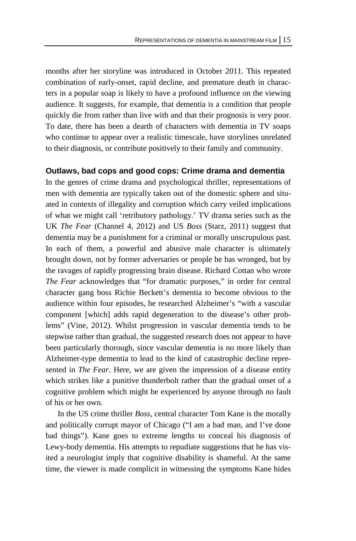months after her storyline was introduced in October 2011. This repeated combination of early-onset, rapid decline, and premature death in characters in a popular soap is likely to have a profound influence on the viewing audience. It suggests, for example, that dementia is a condition that people quickly die from rather than live with and that their prognosis is very poor. To date, there has been a dearth of characters with dementia in TV soaps who continue to appear over a realistic timescale, have storylines unrelated to their diagnosis, or contribute positively to their family and community.

### **Outlaws, bad cops and good cops: Crime drama and dementia**

In the genres of crime drama and psychological thriller, representations of men with dementia are typically taken out of the domestic sphere and situated in contexts of illegality and corruption which carry veiled implications of what we might call 'retributory pathology.' TV drama series such as the UK *The Fear* (Channel 4, 2012) and US *Boss* (Starz, 2011) suggest that dementia may be a punishment for a criminal or morally unscrupulous past. In each of them, a powerful and abusive male character is ultimately brought down, not by former adversaries or people he has wronged, but by the ravages of rapidly progressing brain disease. Richard Cottan who wrote *The Fear* acknowledges that "for dramatic purposes," in order for central character gang boss Richie Beckett's dementia to become obvious to the audience within four episodes, he researched Alzheimer's "with a vascular component [which] adds rapid degeneration to the disease's other problems" (Vine, 2012). Whilst progression in vascular dementia tends to be stepwise rather than gradual, the suggested research does not appear to have been particularly thorough, since vascular dementia is no more likely than Alzheimer-type dementia to lead to the kind of catastrophic decline represented in *The Fear*. Here, we are given the impression of a disease entity which strikes like a punitive thunderbolt rather than the gradual onset of a cognitive problem which might be experienced by anyone through no fault of his or her own.

In the US crime thriller *Boss,* central character Tom Kane is the morally and politically corrupt mayor of Chicago ("I am a bad man, and I've done bad things"). Kane goes to extreme lengths to conceal his diagnosis of Lewy-body dementia. His attempts to repudiate suggestions that he has visited a neurologist imply that cognitive disability is shameful. At the same time, the viewer is made complicit in witnessing the symptoms Kane hides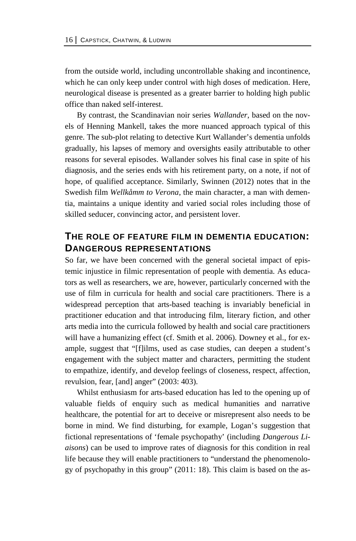from the outside world, including uncontrollable shaking and incontinence, which he can only keep under control with high doses of medication. Here, neurological disease is presented as a greater barrier to holding high public office than naked self-interest.

By contrast, the Scandinavian noir series *Wallander*, based on the novels of Henning Mankell, takes the more nuanced approach typical of this genre. The sub-plot relating to detective Kurt Wallander's dementia unfolds gradually, his lapses of memory and oversights easily attributable to other reasons for several episodes. Wallander solves his final case in spite of his diagnosis, and the series ends with his retirement party, on a note, if not of hope, of qualified acceptance. Similarly, Swinnen (2012) notes that in the Swedish film *Wellkåmm to Verona*, the main character, a man with dementia, maintains a unique identity and varied social roles including those of skilled seducer, convincing actor, and persistent lover.

## **THE ROLE OF FEATURE FILM IN DEMENTIA EDUCATION: DANGEROUS REPRESENTATIONS**

So far, we have been concerned with the general societal impact of epistemic injustice in filmic representation of people with dementia. As educators as well as researchers, we are, however, particularly concerned with the use of film in curricula for health and social care practitioners. There is a widespread perception that arts-based teaching is invariably beneficial in practitioner education and that introducing film, literary fiction, and other arts media into the curricula followed by health and social care practitioners will have a humanizing effect (cf. Smith et al. 2006). Downey et al., for example, suggest that "[f]ilms, used as case studies, can deepen a student's engagement with the subject matter and characters, permitting the student to empathize, identify, and develop feelings of closeness, respect, affection, revulsion, fear, [and] anger" (2003: 403).

Whilst enthusiasm for arts-based education has led to the opening up of valuable fields of enquiry such as medical humanities and narrative healthcare, the potential for art to deceive or misrepresent also needs to be borne in mind. We find disturbing, for example, Logan's suggestion that fictional representations of 'female psychopathy' (including *Dangerous Liaisons*) can be used to improve rates of diagnosis for this condition in real life because they will enable practitioners to "understand the phenomenology of psychopathy in this group" (2011: 18). This claim is based on the as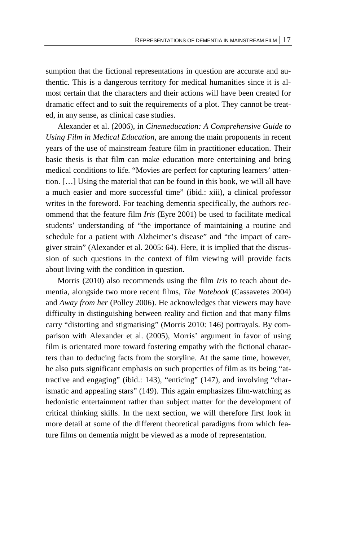sumption that the fictional representations in question are accurate and authentic. This is a dangerous territory for medical humanities since it is almost certain that the characters and their actions will have been created for dramatic effect and to suit the requirements of a plot. They cannot be treated, in any sense, as clinical case studies.

Alexander et al. (2006), in *Cinemeducation: A Comprehensive Guide to Using Film in Medical Education*, are among the main proponents in recent years of the use of mainstream feature film in practitioner education. Their basic thesis is that film can make education more entertaining and bring medical conditions to life. "Movies are perfect for capturing learners' attention. […] Using the material that can be found in this book, we will all have a much easier and more successful time" (ibid.: xiii), a clinical professor writes in the foreword. For teaching dementia specifically, the authors recommend that the feature film *Iris* (Eyre 2001) be used to facilitate medical students' understanding of "the importance of maintaining a routine and schedule for a patient with Alzheimer's disease" and "the impact of caregiver strain" (Alexander et al. 2005: 64). Here, it is implied that the discussion of such questions in the context of film viewing will provide facts about living with the condition in question.

Morris (2010) also recommends using the film *Iris* to teach about dementia, alongside two more recent films, *The Notebook* (Cassavetes 2004) and *Away from her* (Polley 2006). He acknowledges that viewers may have difficulty in distinguishing between reality and fiction and that many films carry "distorting and stigmatising" (Morris 2010: 146) portrayals. By comparison with Alexander et al. (2005), Morris' argument in favor of using film is orientated more toward fostering empathy with the fictional characters than to deducing facts from the storyline. At the same time, however, he also puts significant emphasis on such properties of film as its being "attractive and engaging" (ibid.: 143), "enticing" (147), and involving "charismatic and appealing stars" (149). This again emphasizes film-watching as hedonistic entertainment rather than subject matter for the development of critical thinking skills. In the next section, we will therefore first look in more detail at some of the different theoretical paradigms from which feature films on dementia might be viewed as a mode of representation.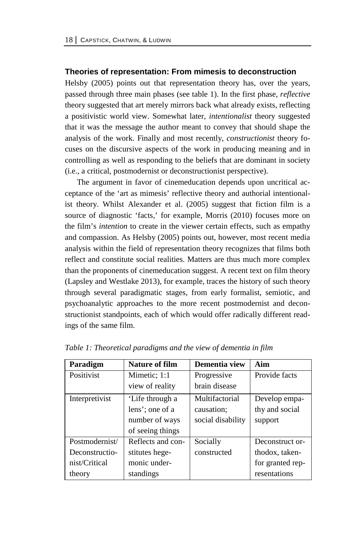#### **Theories of representation: From mimesis to deconstruction**

Helsby (2005) points out that representation theory has, over the years, passed through three main phases (see table 1). In the first phase, *reflective* theory suggested that art merely mirrors back what already exists, reflecting a positivistic world view. Somewhat later, *intentionalist* theory suggested that it was the message the author meant to convey that should shape the analysis of the work. Finally and most recently, *constructionist* theory focuses on the discursive aspects of the work in producing meaning and in controlling as well as responding to the beliefs that are dominant in society (i.e., a critical, postmodernist or deconstructionist perspective).

The argument in favor of cinemeducation depends upon uncritical acceptance of the 'art as mimesis' reflective theory and authorial intentionalist theory. Whilst Alexander et al. (2005) suggest that fiction film is a source of diagnostic 'facts,' for example, Morris (2010) focuses more on the film's *intention* to create in the viewer certain effects, such as empathy and compassion. As Helsby (2005) points out, however, most recent media analysis within the field of representation theory recognizes that films both reflect and constitute social realities. Matters are thus much more complex than the proponents of cinemeducation suggest. A recent text on film theory (Lapsley and Westlake 2013), for example, traces the history of such theory through several paradigmatic stages, from early formalist, semiotic, and psychoanalytic approaches to the more recent postmodernist and deconstructionist standpoints, each of which would offer radically different readings of the same film.

| Paradigm       | Nature of film    | Dementia view     | Aim              |
|----------------|-------------------|-------------------|------------------|
| Positivist     | Mimetic; 1:1      | Progressive       | Provide facts    |
|                | view of reality   | brain disease     |                  |
| Interpretivist | 'Life through a   | Multifactorial    | Develop empa-    |
|                | lens'; one of a   | causation;        | thy and social   |
|                | number of ways    | social disability | support          |
|                | of seeing things  |                   |                  |
| Postmodernist/ | Reflects and con- | Socially          | Deconstruct or-  |
| Deconstructio- | stitutes hege-    | constructed       | thodox, taken-   |
| nist/Critical  | monic under-      |                   | for granted rep- |
| theory         | standings         |                   | resentations     |

*Table 1: Theoretical paradigms and the view of dementia in film*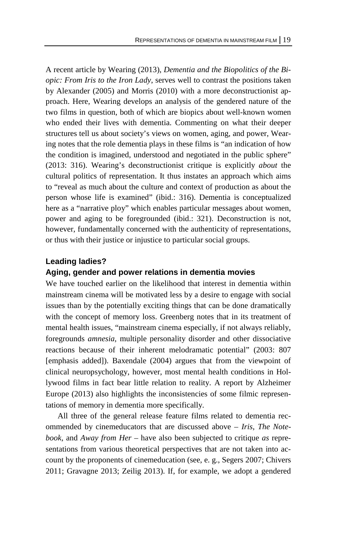A recent article by Wearing (2013), *Dementia and the Biopolitics of the Biopic: From Iris to the Iron Lady*, serves well to contrast the positions taken by Alexander (2005) and Morris (2010) with a more deconstructionist approach. Here, Wearing develops an analysis of the gendered nature of the two films in question, both of which are biopics about well-known women who ended their lives with dementia. Commenting on what their deeper structures tell us about society's views on women, aging, and power, Wearing notes that the role dementia plays in these films is "an indication of how the condition is imagined, understood and negotiated in the public sphere" (2013: 316). Wearing's deconstructionist critique is explicitly *about* the cultural politics of representation. It thus instates an approach which aims to "reveal as much about the culture and context of production as about the person whose life is examined" (ibid.: 316). Dementia is conceptualized here as a "narrative ploy" which enables particular messages about women, power and aging to be foregrounded (ibid.: 321). Deconstruction is not, however, fundamentally concerned with the authenticity of representations, or thus with their justice or injustice to particular social groups.

#### **Leading ladies?**

#### **Aging, gender and power relations in dementia movies**

We have touched earlier on the likelihood that interest in dementia within mainstream cinema will be motivated less by a desire to engage with social issues than by the potentially exciting things that can be done dramatically with the concept of memory loss. Greenberg notes that in its treatment of mental health issues, "mainstream cinema especially, if not always reliably, foregrounds *amnesia*, multiple personality disorder and other dissociative reactions because of their inherent melodramatic potential" (2003: 807 [emphasis added]). Baxendale (2004) argues that from the viewpoint of clinical neuropsychology, however, most mental health conditions in Hollywood films in fact bear little relation to reality. A report by Alzheimer Europe (2013) also highlights the inconsistencies of some filmic representations of memory in dementia more specifically.

All three of the general release feature films related to dementia recommended by cinemeducators that are discussed above – *Iris*, *The Notebook*, and *Away from Her* – have also been subjected to critique *as* representations from various theoretical perspectives that are not taken into account by the proponents of cinemeducation (see, e. g., Segers 2007; Chivers 2011; Gravagne 2013; Zeilig 2013). If, for example, we adopt a gendered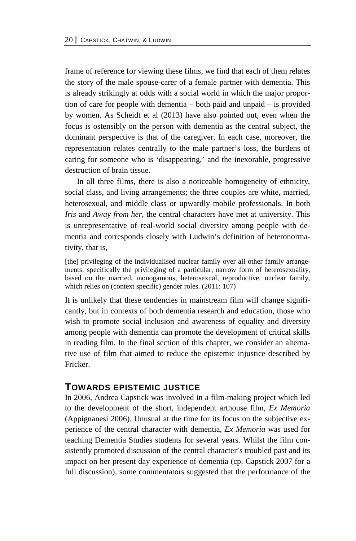frame of reference for viewing these films, we find that each of them relates the story of the male spouse-carer of a female partner with dementia. This is already strikingly at odds with a social world in which the major proportion of care for people with dementia – both paid and unpaid – is provided by women. As Scheidt et al (2013) have also pointed out, even when the focus is ostensibly on the person with dementia as the central subject, the dominant perspective is that of the caregiver. In each case, moreover, the representation relates centrally to the male partner's loss, the burdens of caring for someone who is 'disappearing,' and the inexorable, progressive destruction of brain tissue.

In all three films, there is also a noticeable homogeneity of ethnicity, social class, and living arrangements; the three couples are white, married, heterosexual, and middle class or upwardly mobile professionals. In both *Iris* and *Away from her*, the central characters have met at university. This is unrepresentative of real-world social diversity among people with dementia and corresponds closely with Ludwin's definition of heteronormativity, that is,

[the] privileging of the individualised nuclear family over all other family arrangements: specifically the privileging of a particular, narrow form of heterosexuality, based on the married, monogamous, heterosexual, reproductive, nuclear family, which relies on (context specific) gender roles. (2011: 107)

It is unlikely that these tendencies in mainstream film will change significantly, but in contexts of both dementia research and education, those who wish to promote social inclusion and awareness of equality and diversity among people with dementia can promote the development of critical skills in reading film. In the final section of this chapter, we consider an alternative use of film that aimed to reduce the epistemic injustice described by Fricker.

### **TOWARDS EPISTEMIC JUSTICE**

In 2006, Andrea Capstick was involved in a film-making project which led to the development of the short, independent arthouse film, *Ex Memoria* (Appignanesi 2006). Unusual at the time for its focus on the subjective experience of the central character with dementia, *Ex Memoria* was used for teaching Dementia Studies students for several years. Whilst the film consistently promoted discussion of the central character's troubled past and its impact on her present day experience of dementia (cp. Capstick 2007 for a full discussion), some commentators suggested that the performance of the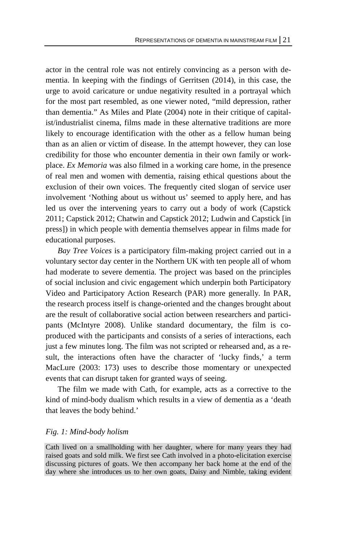actor in the central role was not entirely convincing as a person with dementia. In keeping with the findings of Gerritsen (2014), in this case, the urge to avoid caricature or undue negativity resulted in a portrayal which for the most part resembled, as one viewer noted, "mild depression, rather than dementia." As Miles and Plate (2004) note in their critique of capitalist/industrialist cinema, films made in these alternative traditions are more likely to encourage identification with the other as a fellow human being than as an alien or victim of disease. In the attempt however, they can lose credibility for those who encounter dementia in their own family or workplace. *Ex Memoria* was also filmed in a working care home, in the presence of real men and women with dementia, raising ethical questions about the exclusion of their own voices. The frequently cited slogan of service user involvement 'Nothing about us without us' seemed to apply here, and has led us over the intervening years to carry out a body of work (Capstick 2011; Capstick 2012; Chatwin and Capstick 2012; Ludwin and Capstick [in press]) in which people with dementia themselves appear in films made for educational purposes.

*Bay Tree Voices* is a participatory film-making project carried out in a voluntary sector day center in the Northern UK with ten people all of whom had moderate to severe dementia. The project was based on the principles of social inclusion and civic engagement which underpin both Participatory Video and Participatory Action Research (PAR) more generally. In PAR, the research process itself is change-oriented and the changes brought about are the result of collaborative social action between researchers and participants (McIntyre 2008). Unlike standard documentary, the film is coproduced with the participants and consists of a series of interactions, each just a few minutes long. The film was not scripted or rehearsed and, as a result, the interactions often have the character of 'lucky finds,' a term MacLure (2003: 173) uses to describe those momentary or unexpected events that can disrupt taken for granted ways of seeing.

The film we made with Cath, for example, acts as a corrective to the kind of mind-body dualism which results in a view of dementia as a 'death that leaves the body behind.'

#### *Fig. 1: Mind-body holism*

Cath lived on a smallholding with her daughter, where for many years they had raised goats and sold milk. We first see Cath involved in a photo-elicitation exercise discussing pictures of goats. We then accompany her back home at the end of the day where she introduces us to her own goats, Daisy and Nimble, taking evident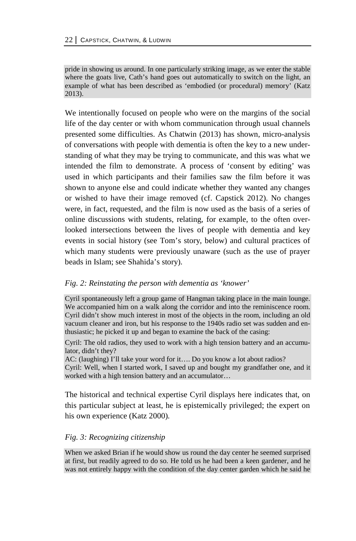pride in showing us around. In one particularly striking image, as we enter the stable where the goats live, Cath's hand goes out automatically to switch on the light, an example of what has been described as 'embodied (or procedural) memory' (Katz 2013).

We intentionally focused on people who were on the margins of the social life of the day center or with whom communication through usual channels presented some difficulties. As Chatwin (2013) has shown, micro-analysis of conversations with people with dementia is often the key to a new understanding of what they may be trying to communicate, and this was what we intended the film to demonstrate. A process of 'consent by editing' was used in which participants and their families saw the film before it was shown to anyone else and could indicate whether they wanted any changes or wished to have their image removed (cf. Capstick 2012). No changes were, in fact, requested, and the film is now used as the basis of a series of online discussions with students, relating, for example, to the often overlooked intersections between the lives of people with dementia and key events in social history (see Tom's story, below) and cultural practices of which many students were previously unaware (such as the use of prayer beads in Islam; see Shahida's story).

#### *Fig. 2: Reinstating the person with dementia as 'knower'*

Cyril spontaneously left a group game of Hangman taking place in the main lounge. We accompanied him on a walk along the corridor and into the reminiscence room. Cyril didn't show much interest in most of the objects in the room, including an old vacuum cleaner and iron, but his response to the 1940s radio set was sudden and enthusiastic; he picked it up and began to examine the back of the casing:

Cyril: The old radios, they used to work with a high tension battery and an accumulator, didn't they?

AC: (laughing) I'll take your word for it.... Do you know a lot about radios?

Cyril: Well, when I started work, I saved up and bought my grandfather one, and it worked with a high tension battery and an accumulator…

The historical and technical expertise Cyril displays here indicates that, on this particular subject at least, he is epistemically privileged; the expert on his own experience (Katz 2000).

### *Fig. 3: Recognizing citizenship*

When we asked Brian if he would show us round the day center he seemed surprised at first, but readily agreed to do so. He told us he had been a keen gardener, and he was not entirely happy with the condition of the day center garden which he said he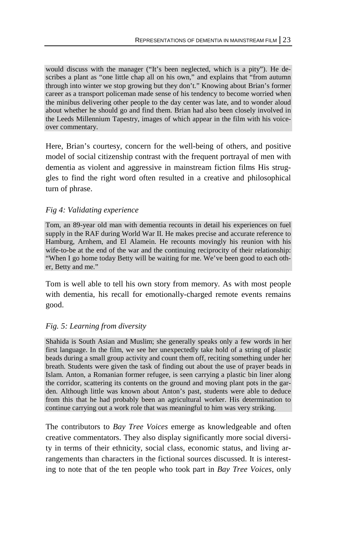would discuss with the manager ("It's been neglected, which is a pity"). He describes a plant as "one little chap all on his own," and explains that "from autumn through into winter we stop growing but they don't." Knowing about Brian's former career as a transport policeman made sense of his tendency to become worried when the minibus delivering other people to the day center was late, and to wonder aloud about whether he should go and find them. Brian had also been closely involved in the Leeds Millennium Tapestry, images of which appear in the film with his voiceover commentary.

Here, Brian's courtesy, concern for the well-being of others, and positive model of social citizenship contrast with the frequent portrayal of men with dementia as violent and aggressive in mainstream fiction films His struggles to find the right word often resulted in a creative and philosophical turn of phrase.

### *Fig 4: Validating experience*

Tom, an 89-year old man with dementia recounts in detail his experiences on fuel supply in the RAF during World War II. He makes precise and accurate reference to Hamburg, Arnhem, and El Alamein. He recounts movingly his reunion with his wife-to-be at the end of the war and the continuing reciprocity of their relationship: "When I go home today Betty will be waiting for me. We've been good to each other, Betty and me."

Tom is well able to tell his own story from memory. As with most people with dementia, his recall for emotionally-charged remote events remains good.

### *Fig. 5: Learning from diversity*

Shahida is South Asian and Muslim; she generally speaks only a few words in her first language. In the film, we see her unexpectedly take hold of a string of plastic beads during a small group activity and count them off, reciting something under her breath. Students were given the task of finding out about the use of prayer beads in Islam. Anton, a Romanian former refugee, is seen carrying a plastic bin liner along the corridor, scattering its contents on the ground and moving plant pots in the garden. Although little was known about Anton's past, students were able to deduce from this that he had probably been an agricultural worker. His determination to continue carrying out a work role that was meaningful to him was very striking.

The contributors to *Bay Tree Voices* emerge as knowledgeable and often creative commentators. They also display significantly more social diversity in terms of their ethnicity, social class, economic status, and living arrangements than characters in the fictional sources discussed. It is interesting to note that of the ten people who took part in *Bay Tree Voices*, only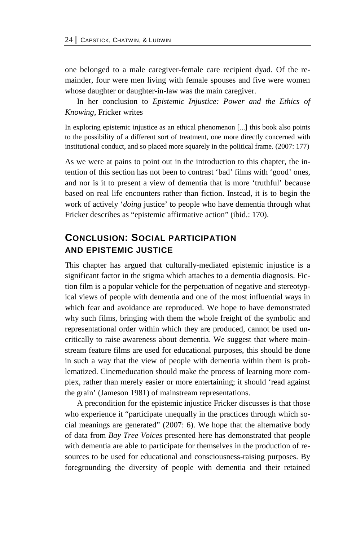one belonged to a male caregiver-female care recipient dyad. Of the remainder, four were men living with female spouses and five were women whose daughter or daughter-in-law was the main caregiver.

In her conclusion to *Epistemic Injustice: Power and the Ethics of Knowing,* Fricker writes

In exploring epistemic injustice as an ethical phenomenon [...] this book also points to the possibility of a different sort of treatment, one more directly concerned with institutional conduct, and so placed more squarely in the political frame. (2007: 177)

As we were at pains to point out in the introduction to this chapter, the intention of this section has not been to contrast 'bad' films with 'good' ones, and nor is it to present a view of dementia that is more 'truthful' because based on real life encounters rather than fiction. Instead, it is to begin the work of actively '*doing* justice' to people who have dementia through what Fricker describes as "epistemic affirmative action" (ibid.: 170).

# **CONCLUSION: SOCIAL PARTICIPATION AND EPISTEMIC JUSTICE**

This chapter has argued that culturally-mediated epistemic injustice is a significant factor in the stigma which attaches to a dementia diagnosis. Fiction film is a popular vehicle for the perpetuation of negative and stereotypical views of people with dementia and one of the most influential ways in which fear and avoidance are reproduced. We hope to have demonstrated why such films, bringing with them the whole freight of the symbolic and representational order within which they are produced, cannot be used uncritically to raise awareness about dementia. We suggest that where mainstream feature films are used for educational purposes, this should be done in such a way that the view of people with dementia within them is problematized. Cinemeducation should make the process of learning more complex, rather than merely easier or more entertaining; it should 'read against the grain' (Jameson 1981) of mainstream representations.

A precondition for the epistemic injustice Fricker discusses is that those who experience it "participate unequally in the practices through which social meanings are generated" (2007: 6). We hope that the alternative body of data from *Bay Tree Voices* presented here has demonstrated that people with dementia are able to participate for themselves in the production of resources to be used for educational and consciousness-raising purposes. By foregrounding the diversity of people with dementia and their retained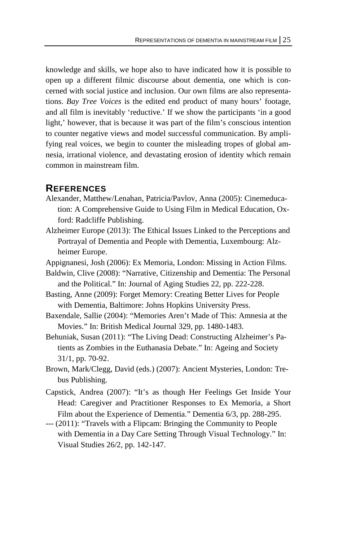knowledge and skills, we hope also to have indicated how it is possible to open up a different filmic discourse about dementia, one which is concerned with social justice and inclusion. Our own films are also representations. *Bay Tree Voices* is the edited end product of many hours' footage, and all film is inevitably 'reductive.' If we show the participants 'in a good light,' however, that is because it was part of the film's conscious intention to counter negative views and model successful communication. By amplifying real voices, we begin to counter the misleading tropes of global amnesia, irrational violence, and devastating erosion of identity which remain common in mainstream film.

### **REFERENCES**

- Alexander, Matthew/Lenahan, Patricia/Pavlov, Anna (2005): Cinemeducation: A Comprehensive Guide to Using Film in Medical Education, Oxford: Radcliffe Publishing.
- Alzheimer Europe (2013): The Ethical Issues Linked to the Perceptions and Portrayal of Dementia and People with Dementia, Luxembourg: Alzheimer Europe.
- Appignanesi, Josh (2006): Ex Memoria, London: Missing in Action Films.
- Baldwin, Clive (2008): "Narrative, Citizenship and Dementia: The Personal and the Political." In: Journal of Aging Studies 22, pp. 222-228.
- Basting, Anne (2009): Forget Memory: Creating Better Lives for People with Dementia, Baltimore: Johns Hopkins University Press.
- Baxendale, Sallie (2004): "Memories Aren't Made of This: Amnesia at the Movies." In: British Medical Journal 329, pp. 1480-1483.
- Behuniak, Susan (2011): "The Living Dead: Constructing Alzheimer's Patients as Zombies in the Euthanasia Debate." In: Ageing and Society 31/1, pp. 70-92.
- Brown, Mark/Clegg, David (eds.) (2007): Ancient Mysteries, London: Trebus Publishing.
- Capstick, Andrea (2007): "It's as though Her Feelings Get Inside Your Head: Caregiver and Practitioner Responses to Ex Memoria, a Short Film about the Experience of Dementia." Dementia 6/3, pp. 288-295.
- --- (2011): "Travels with a Flipcam: Bringing the Community to People with Dementia in a Day Care Setting Through Visual Technology." In: Visual Studies 26/2, pp. 142-147.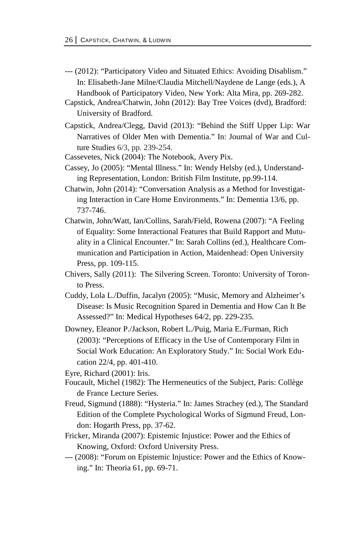- --- (2012): "Participatory Video and Situated Ethics: Avoiding Disablism." In: Elisabeth-Jane Milne/Claudia Mitchell/Naydene de Lange (eds.), A Handbook of Participatory Video, New York: Alta Mira, pp. 269-282.
- Capstick, Andrea/Chatwin, John (2012): Bay Tree Voices (dvd), Bradford: University of Bradford.
- Capstick, Andrea/Clegg, David (2013): "Behind the Stiff Upper Lip: War Narratives of Older Men with Dementia." In: Journal of War and Culture Studies 6/3, pp. 239-254.
- Cassevetes, Nick (2004): The Notebook, Avery Pix.
- Cassey, Jo (2005): "Mental Illness." In: Wendy Helsby (ed.), Understanding Representation, London: British Film Institute, pp.99-114.
- Chatwin, John (2014): "Conversation Analysis as a Method for Investigating Interaction in Care Home Environments." In: Dementia 13/6, pp. 737-746.
- Chatwin, John/Watt, Ian/Collins, Sarah/Field, Rowena (2007): "A Feeling of Equality: Some Interactional Features that Build Rapport and Mutuality in a Clinical Encounter." In: Sarah Collins (ed.), Healthcare Communication and Participation in Action, Maidenhead: Open University Press, pp. 109-115.
- Chivers, Sally (2011): The Silvering Screen. Toronto: University of Toronto Press.
- Cuddy, Lola L./Duffin, Jacalyn (2005): "Music, Memory and Alzheimer's Disease: Is Music Recognition Spared in Dementia and How Can It Be Assessed?" In: Medical Hypotheses 64/2, pp. 229-235.
- Downey, Eleanor P./Jackson, Robert L./Puig, Maria E./Furman, Rich (2003): "Perceptions of Efficacy in the Use of Contemporary Film in Social Work Education: An Exploratory Study." In: Social Work Education 22/4, pp. 401-410.
- Eyre, Richard (2001): Iris.
- Foucault, Michel (1982): The Hermeneutics of the Subject, Paris: Collège de France Lecture Series.
- Freud, Sigmund (1888): "Hysteria." In: James Strachey (ed.), The Standard Edition of the Complete Psychological Works of Sigmund Freud, London: Hogarth Press, pp. 37-62.
- Fricker, Miranda (2007): Epistemic Injustice: Power and the Ethics of Knowing, Oxford: Oxford University Press.
- --- (2008): "Forum on Epistemic Injustice: Power and the Ethics of Knowing." In: Theoria 61, pp. 69-71.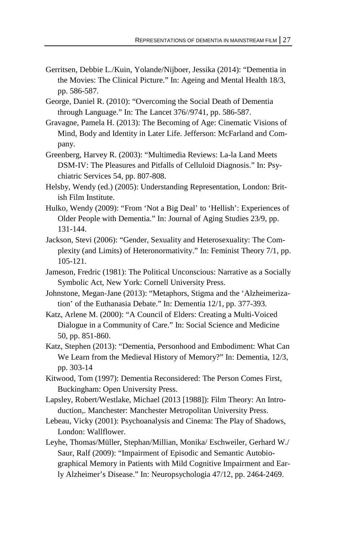- Gerritsen, Debbie L./Kuin, Yolande/Nijboer, Jessika (2014): "Dementia in the Movies: The Clinical Picture." In: Ageing and Mental Health 18/3, pp. 586-587.
- George, Daniel R. (2010): "Overcoming the Social Death of Dementia through Language." In: The Lancet 376//9741, pp. 586-587.
- Gravagne, Pamela H. (2013): The Becoming of Age: Cinematic Visions of Mind, Body and Identity in Later Life. Jefferson: McFarland and Company.
- Greenberg, Harvey R. (2003): "Multimedia Reviews: La-la Land Meets DSM-IV: The Pleasures and Pitfalls of Celluloid Diagnosis." In: Psychiatric Services 54, pp. 807-808.
- Helsby, Wendy (ed.) (2005): Understanding Representation, London: British Film Institute.
- Hulko, Wendy (2009): "From 'Not a Big Deal' to 'Hellish': Experiences of Older People with Dementia." In: Journal of Aging Studies 23/9, pp. 131-144.
- Jackson, Stevi (2006): "Gender, Sexuality and Heterosexuality: The Complexity (and Limits) of Heteronormativity." In: Feminist Theory 7/1, pp. 105-121.
- Jameson, Fredric (1981): The Political Unconscious: Narrative as a Socially Symbolic Act, New York: Cornell University Press.
- Johnstone, Megan-Jane (2013): "Metaphors, Stigma and the 'Alzheimerization' of the Euthanasia Debate." In: Dementia 12/1, pp. 377-393.
- Katz, Arlene M. (2000): "A Council of Elders: Creating a Multi-Voiced Dialogue in a Community of Care." In: Social Science and Medicine 50, pp. 851-860.
- Katz, Stephen (2013): "Dementia, Personhood and Embodiment: What Can We Learn from the Medieval History of Memory?" In: Dementia, 12/3, pp. 303-14
- Kitwood, Tom (1997): Dementia Reconsidered: The Person Comes First, Buckingham: Open University Press.
- Lapsley, Robert/Westlake, Michael (2013 [1988]): Film Theory: An Introduction,. Manchester: Manchester Metropolitan University Press.
- Lebeau, Vicky (2001): Psychoanalysis and Cinema: The Play of Shadows, London: Wallflower.
- Leyhe, Thomas/Müller, Stephan/Millian, Monika/ Eschweiler, Gerhard W./ Saur, Ralf (2009): "Impairment of Episodic and Semantic Autobiographical Memory in Patients with Mild Cognitive Impairment and Early Alzheimer's Disease." In: Neuropsychologia 47/12, pp. 2464-2469.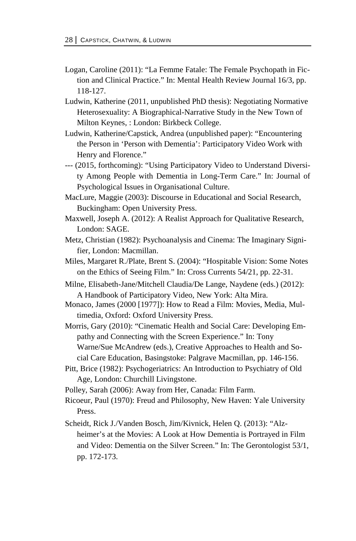- Logan, Caroline (2011): "La Femme Fatale: The Female Psychopath in Fiction and Clinical Practice." In: Mental Health Review Journal 16/3, pp. 118-127.
- Ludwin, Katherine (2011, unpublished PhD thesis): Negotiating Normative Heterosexuality: A Biographical-Narrative Study in the New Town of Milton Keynes, : London: Birkbeck College.
- Ludwin, Katherine/Capstick, Andrea (unpublished paper): "Encountering the Person in 'Person with Dementia': Participatory Video Work with Henry and Florence."
- --- (2015, forthcoming): "Using Participatory Video to Understand Diversity Among People with Dementia in Long-Term Care." In: Journal of Psychological Issues in Organisational Culture.
- MacLure, Maggie (2003): Discourse in Educational and Social Research, Buckingham: Open University Press.
- Maxwell, Joseph A. (2012): A Realist Approach for Qualitative Research, London: SAGE.
- Metz, Christian (1982): Psychoanalysis and Cinema: The Imaginary Signifier, London: Macmillan.
- Miles, Margaret R./Plate, Brent S. (2004): "Hospitable Vision: Some Notes on the Ethics of Seeing Film." In: Cross Currents 54/21, pp. 22-31.
- Milne, Elisabeth-Jane/Mitchell Claudia/De Lange, Naydene (eds.) (2012): A Handbook of Participatory Video, New York: Alta Mira.
- Monaco, James (2000 [1977]): How to Read a Film: Movies, Media, Multimedia, Oxford: Oxford University Press.
- Morris, Gary (2010): "Cinematic Health and Social Care: Developing Empathy and Connecting with the Screen Experience." In: Tony Warne/Sue McAndrew (eds.), Creative Approaches to Health and Social Care Education, Basingstoke: Palgrave Macmillan, pp. 146-156.
- Pitt, Brice (1982): Psychogeriatrics: An Introduction to Psychiatry of Old Age, London: Churchill Livingstone.
- Polley, Sarah (2006): Away from Her, Canada: Film Farm.
- Ricoeur, Paul (1970): Freud and Philosophy, New Haven: Yale University Press.
- Scheidt, Rick J./Vanden Bosch, Jim/Kivnick, Helen Q. (2013): "Alzheimer's at the Movies: A Look at How Dementia is Portrayed in Film and Video: Dementia on the Silver Screen." In: The Gerontologist 53/1, pp. 172-173.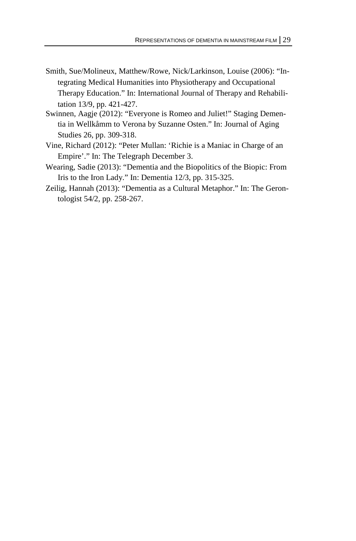- Smith, Sue/Molineux, Matthew/Rowe, Nick/Larkinson, Louise (2006): "Integrating Medical Humanities into Physiotherapy and Occupational Therapy Education." In: International Journal of Therapy and Rehabilitation 13/9, pp. 421-427.
- Swinnen, Aagje (2012): "Everyone is Romeo and Juliet!" Staging Dementia in Wellkåmm to Verona by Suzanne Osten." In: Journal of Aging Studies 26, pp. 309-318.
- Vine, Richard (2012): "Peter Mullan: 'Richie is a Maniac in Charge of an Empire'." In: The Telegraph December 3.
- Wearing, Sadie (2013): "Dementia and the Biopolitics of the Biopic: From Iris to the Iron Lady." In: Dementia 12/3, pp. 315-325.
- Zeilig, Hannah (2013): "Dementia as a Cultural Metaphor." In: The Gerontologist 54/2, pp. 258-267.